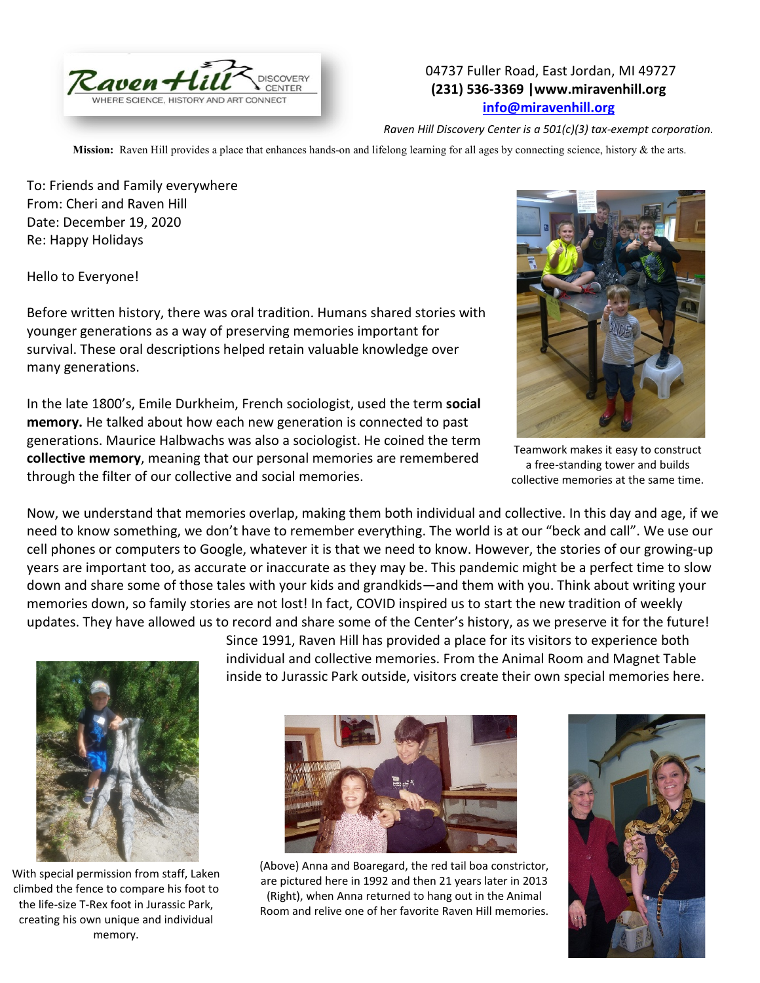

## 04737 Fuller Road, East Jordan, MI 49727 **(231) 536-3369 |www.miravenhill.org [info@miravenhill.org](mailto:info@miravenhill.org)**

*Raven Hill Discovery Center is a 501(c)(3) tax-exempt corporation.*

**Mission:** Raven Hill provides a place that enhances hands-on and lifelong learning for all ages by connecting science, history & the arts.

To: Friends and Family everywhere From: Cheri and Raven Hill Date: December 19, 2020 Re: Happy Holidays

Hello to Everyone!

Before written history, there was oral tradition. Humans shared stories with younger generations as a way of preserving memories important for survival. These oral descriptions helped retain valuable knowledge over many generations.

In the late 1800's, Emile Durkheim, French sociologist, used the term **social memory.** He talked about how each new generation is connected to past generations. Maurice Halbwachs was also a sociologist. He coined the term **collective memory**, meaning that our personal memories are remembered through the filter of our collective and social memories.



Teamwork makes it easy to construct a free-standing tower and builds collective memories at the same time.

Now, we understand that memories overlap, making them both individual and collective. In this day and age, if we need to know something, we don't have to remember everything. The world is at our "beck and call". We use our cell phones or computers to Google, whatever it is that we need to know. However, the stories of our growing-up years are important too, as accurate or inaccurate as they may be. This pandemic might be a perfect time to slow down and share some of those tales with your kids and grandkids—and them with you. Think about writing your memories down, so family stories are not lost! In fact, COVID inspired us to start the new tradition of weekly updates. They have allowed us to record and share some of the Center's history, as we preserve it for the future!



With special permission from staff, Laken climbed the fence to compare his foot to the life-size T-Rex foot in Jurassic Park, creating his own unique and individual memory.

Since 1991, Raven Hill has provided a place for its visitors to experience both individual and collective memories. From the Animal Room and Magnet Table inside to Jurassic Park outside, visitors create their own special memories here.



(Above) Anna and Boaregard, the red tail boa constrictor, are pictured here in 1992 and then 21 years later in 2013 (Right), when Anna returned to hang out in the Animal Room and relive one of her favorite Raven Hill memories.